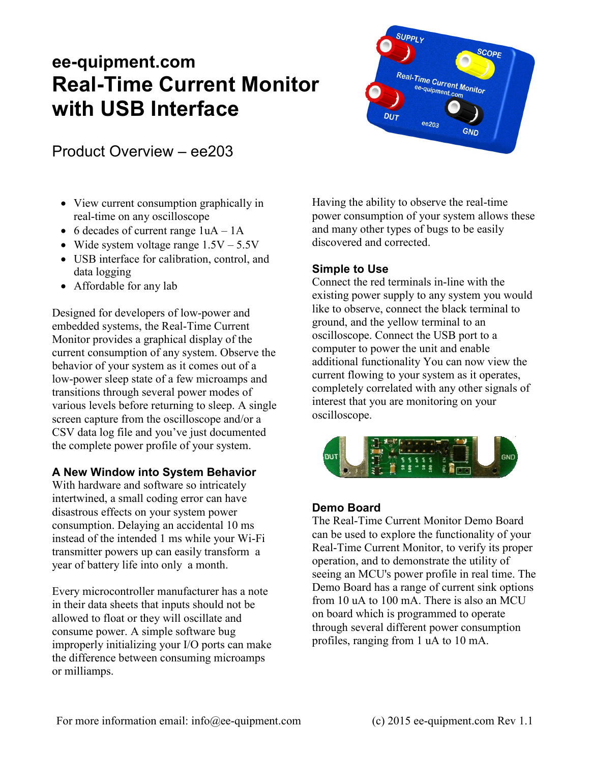# **ee-quipment.com Real-Time Current Monitor with USB Interface**



Product Overview – ee203

- View current consumption graphically in real-time on any oscilloscope
- 6 decades of current range  $1uA 1A$
- Wide system voltage range  $1.5V 5.5V$
- USB interface for calibration, control, and data logging
- Affordable for any lab

Designed for developers of low-power and embedded systems, the Real-Time Current Monitor provides a graphical display of the current consumption of any system. Observe the behavior of your system as it comes out of a low-power sleep state of a few microamps and transitions through several power modes of various levels before returning to sleep. A single screen capture from the oscilloscope and/or a CSV data log file and you've just documented the complete power profile of your system.

## **A New Window into System Behavior**

With hardware and software so intricately intertwined, a small coding error can have disastrous effects on your system power consumption. Delaying an accidental 10 ms instead of the intended 1 ms while your Wi-Fi transmitter powers up can easily transform a year of battery life into only a month.

Every microcontroller manufacturer has a note in their data sheets that inputs should not be allowed to float or they will oscillate and consume power. A simple software bug improperly initializing your I/O ports can make the difference between consuming microamps or milliamps.

Having the ability to observe the real-time power consumption of your system allows these and many other types of bugs to be easily discovered and corrected.

# **Simple to Use**

Connect the red terminals in-line with the existing power supply to any system you would like to observe, connect the black terminal to ground, and the yellow terminal to an oscilloscope. Connect the USB port to a computer to power the unit and enable additional functionality You can now view the current flowing to your system as it operates, completely correlated with any other signals of interest that you are monitoring on your oscilloscope.



# **Demo Board**

The Real-Time Current Monitor Demo Board can be used to explore the functionality of your Real-Time Current Monitor, to verify its proper operation, and to demonstrate the utility of seeing an MCU's power profile in real time. The Demo Board has a range of current sink options from 10 uA to 100 mA. There is also an MCU on board which is programmed to operate through several different power consumption profiles, ranging from 1 uA to 10 mA.